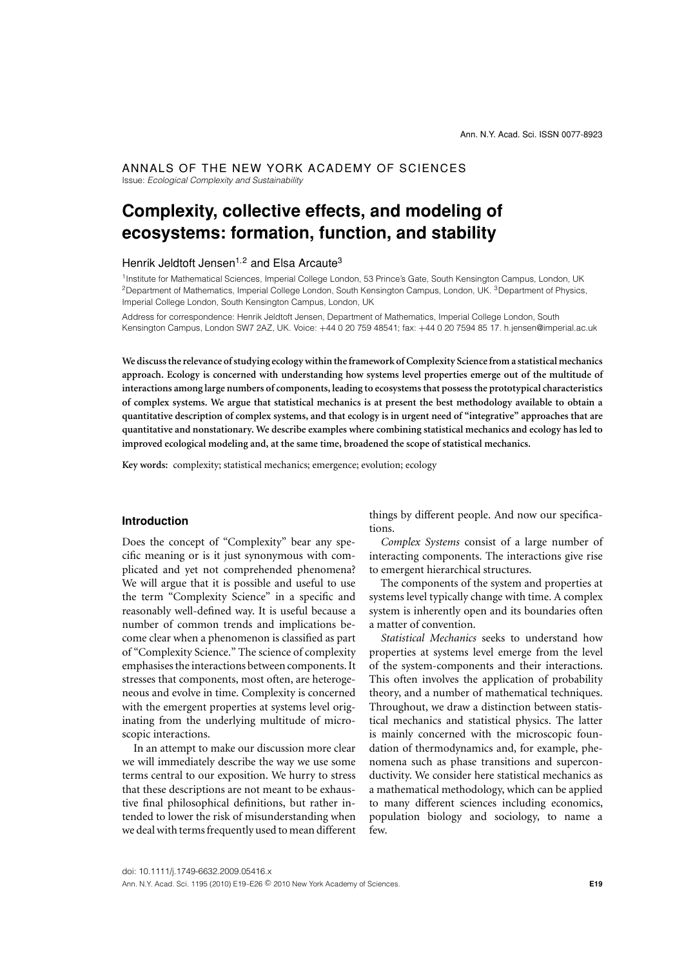# ANNALS OF THE NEW YORK ACADEMY OF SCIENCES Issue: Ecological Complexity and Sustainability

# **Complexity, collective effects, and modeling of ecosystems: formation, function, and stability**

# Henrik Jeldtoft Jensen<sup>1,2</sup> and Elsa Arcaute<sup>3</sup>

<sup>1</sup>Institute for Mathematical Sciences, Imperial College London, 53 Prince's Gate, South Kensington Campus, London, UK 2Department of Mathematics, Imperial College London, South Kensington Campus, London, UK. 3Department of Physics, Imperial College London, South Kensington Campus, London, UK

Address for correspondence: Henrik Jeldtoft Jensen, Department of Mathematics, Imperial College London, South Kensington Campus, London SW7 2AZ, UK. Voice: +44 0 20 759 48541; fax: +44 0 20 7594 85 17. h.jensen@imperial.ac.uk

**We discuss the relevance of studying ecology within the framework of Complexity Science from a statistical mechanics approach. Ecology is concerned with understanding how systems level properties emerge out of the multitude of interactions among large numbers of components, leading to ecosystems that possess the prototypical characteristics of complex systems. We argue that statistical mechanics is at present the best methodology available to obtain a quantitative description of complex systems, and that ecology is in urgent need of "integrative" approaches that are quantitative and nonstationary. We describe examples where combining statistical mechanics and ecology has led to improved ecological modeling and, at the same time, broadened the scope of statistical mechanics.**

**Key words:** complexity; statistical mechanics; emergence; evolution; ecology

### **Introduction**

Does the concept of "Complexity" bear any specific meaning or is it just synonymous with complicated and yet not comprehended phenomena? We will argue that it is possible and useful to use the term "Complexity Science" in a specific and reasonably well-defined way. It is useful because a number of common trends and implications become clear when a phenomenon is classified as part of "Complexity Science." The science of complexity emphasises the interactions between components. It stresses that components, most often, are heterogeneous and evolve in time. Complexity is concerned with the emergent properties at systems level originating from the underlying multitude of microscopic interactions.

In an attempt to make our discussion more clear we will immediately describe the way we use some terms central to our exposition. We hurry to stress that these descriptions are not meant to be exhaustive final philosophical definitions, but rather intended to lower the risk of misunderstanding when we deal with terms frequently used to mean different things by different people. And now our specifications.

*Complex Systems* consist of a large number of interacting components. The interactions give rise to emergent hierarchical structures.

The components of the system and properties at systems level typically change with time. A complex system is inherently open and its boundaries often a matter of convention.

*Statistical Mechanics* seeks to understand how properties at systems level emerge from the level of the system-components and their interactions. This often involves the application of probability theory, and a number of mathematical techniques. Throughout, we draw a distinction between statistical mechanics and statistical physics. The latter is mainly concerned with the microscopic foundation of thermodynamics and, for example, phenomena such as phase transitions and superconductivity. We consider here statistical mechanics as a mathematical methodology, which can be applied to many different sciences including economics, population biology and sociology, to name a few.

Ann. N.Y. Acad. Sci. 1195 (2010) E19–E26 © 2010 New York Academy of Sciences. **E19**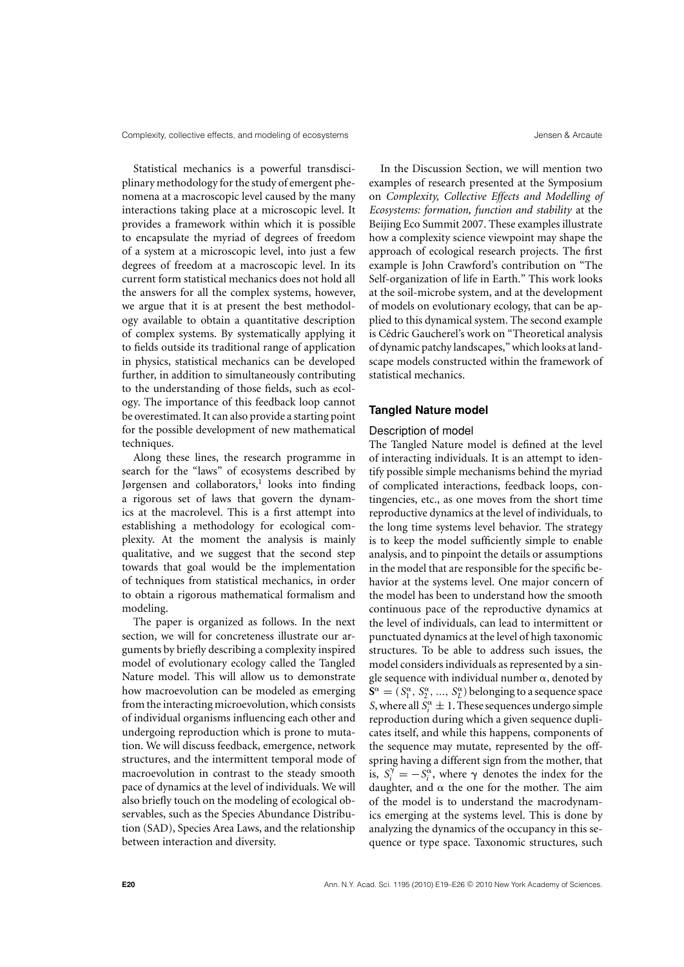Complexity, collective effects, and modeling of ecosystems Jensen & Arcaute Jensen & Arcaute

Statistical mechanics is a powerful transdisciplinary methodology for the study of emergent phenomena at a macroscopic level caused by the many interactions taking place at a microscopic level. It provides a framework within which it is possible to encapsulate the myriad of degrees of freedom of a system at a microscopic level, into just a few degrees of freedom at a macroscopic level. In its current form statistical mechanics does not hold all the answers for all the complex systems, however, we argue that it is at present the best methodology available to obtain a quantitative description of complex systems. By systematically applying it to fields outside its traditional range of application in physics, statistical mechanics can be developed further, in addition to simultaneously contributing to the understanding of those fields, such as ecology. The importance of this feedback loop cannot be overestimated. It can also provide a starting point for the possible development of new mathematical techniques.

Along these lines, the research programme in search for the "laws" of ecosystems described by Jørgensen and collaborators, $<sup>1</sup>$  looks into finding</sup> a rigorous set of laws that govern the dynamics at the macrolevel. This is a first attempt into establishing a methodology for ecological complexity. At the moment the analysis is mainly qualitative, and we suggest that the second step towards that goal would be the implementation of techniques from statistical mechanics, in order to obtain a rigorous mathematical formalism and modeling.

The paper is organized as follows. In the next section, we will for concreteness illustrate our arguments by briefly describing a complexity inspired model of evolutionary ecology called the Tangled Nature model. This will allow us to demonstrate how macroevolution can be modeled as emerging from the interacting microevolution, which consists of individual organisms influencing each other and undergoing reproduction which is prone to mutation. We will discuss feedback, emergence, network structures, and the intermittent temporal mode of macroevolution in contrast to the steady smooth pace of dynamics at the level of individuals. We will also briefly touch on the modeling of ecological observables, such as the Species Abundance Distribution (SAD), Species Area Laws, and the relationship between interaction and diversity.

In the Discussion Section, we will mention two examples of research presented at the Symposium on *Complexity, Collective Effects and Modelling of Ecosystems: formation, function and stability* at the Beijing Eco Summit 2007. These examples illustrate how a complexity science viewpoint may shape the approach of ecological research projects. The first example is John Crawford's contribution on "The Self-organization of life in Earth." This work looks at the soil-microbe system, and at the development of models on evolutionary ecology, that can be applied to this dynamical system. The second example is Cedric Gaucherel's work on "Theoretical analysis ´ of dynamic patchy landscapes," which looks at landscape models constructed within the framework of statistical mechanics.

### **Tangled Nature model**

### Description of model

The Tangled Nature model is defined at the level of interacting individuals. It is an attempt to identify possible simple mechanisms behind the myriad of complicated interactions, feedback loops, contingencies, etc., as one moves from the short time reproductive dynamics at the level of individuals, to the long time systems level behavior. The strategy is to keep the model sufficiently simple to enable analysis, and to pinpoint the details or assumptions in the model that are responsible for the specific behavior at the systems level. One major concern of the model has been to understand how the smooth continuous pace of the reproductive dynamics at the level of individuals, can lead to intermittent or punctuated dynamics at the level of high taxonomic structures. To be able to address such issues, the model considers individuals as represented by a single sequence with individual number  $\alpha$ , denoted by  $\mathbf{S}^{\alpha} = (S_1^{\alpha}, S_2^{\alpha}, ..., S_L^{\alpha})$  belonging to a sequence space *S*, where all  $S_i^{\alpha} \pm 1$ . These sequences undergo simple reproduction during which a given sequence duplicates itself, and while this happens, components of the sequence may mutate, represented by the offspring having a different sign from the mother, that is,  $S_i^{\gamma} = -S_i^{\alpha}$ , where  $\gamma$  denotes the index for the daughter, and  $\alpha$  the one for the mother. The aim of the model is to understand the macrodynamics emerging at the systems level. This is done by analyzing the dynamics of the occupancy in this sequence or type space. Taxonomic structures, such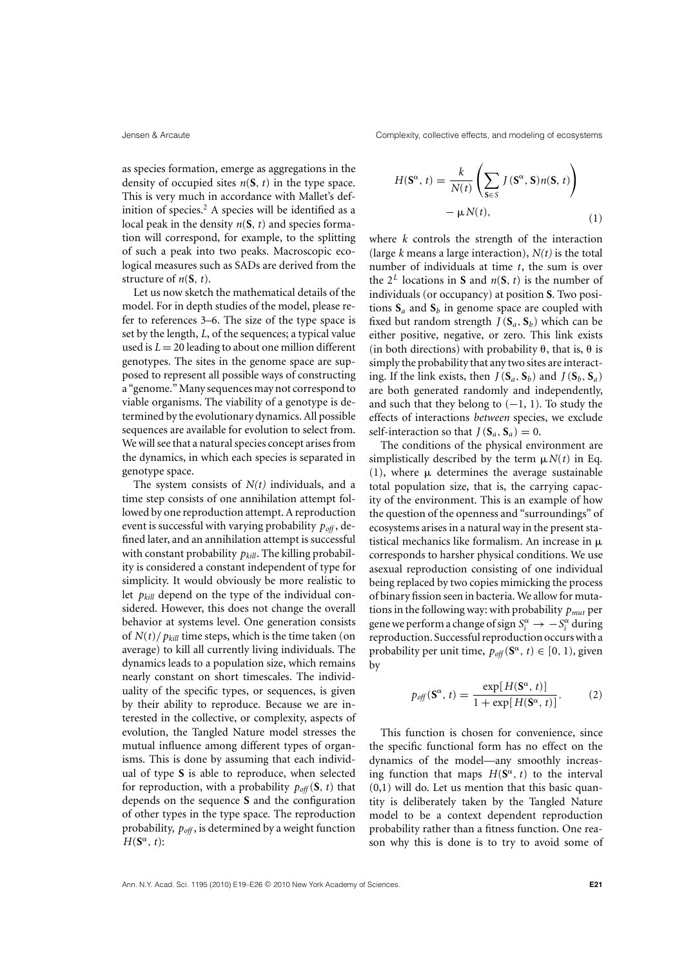as species formation, emerge as aggregations in the density of occupied sites  $n(S, t)$  in the type space. This is very much in accordance with Mallet's definition of species. $<sup>2</sup>$  A species will be identified as a</sup> local peak in the density *n*(**S**, *t*) and species formation will correspond, for example, to the splitting of such a peak into two peaks. Macroscopic ecological measures such as SADs are derived from the structure of  $n(S, t)$ .

Let us now sketch the mathematical details of the model. For in depth studies of the model, please refer to references 3–6. The size of the type space is set by the length, *L*, of the sequences; a typical value used is  $L = 20$  leading to about one million different genotypes. The sites in the genome space are supposed to represent all possible ways of constructing a "genome." Many sequences may not correspond to viable organisms. The viability of a genotype is determined by the evolutionary dynamics. All possible sequences are available for evolution to select from. We will see that a natural species concept arises from the dynamics, in which each species is separated in genotype space.

The system consists of *N(t)* individuals, and a time step consists of one annihilation attempt followed by one reproduction attempt. A reproduction event is successful with varying probability  $p_{off}$ , defined later, and an annihilation attempt is successful with constant probability  $p_{kill}$ . The killing probability is considered a constant independent of type for simplicity. It would obviously be more realistic to let  $p_{kill}$  depend on the type of the individual considered. However, this does not change the overall behavior at systems level. One generation consists of  $N(t)/p_{kill}$  time steps, which is the time taken (on average) to kill all currently living individuals. The dynamics leads to a population size, which remains nearly constant on short timescales. The individuality of the specific types, or sequences, is given by their ability to reproduce. Because we are interested in the collective, or complexity, aspects of evolution, the Tangled Nature model stresses the mutual influence among different types of organisms. This is done by assuming that each individual of type **S** is able to reproduce, when selected for reproduction, with a probability  $p_{off}(S, t)$  that depends on the sequence **S** and the configuration of other types in the type space. The reproduction probability, *poff* , is determined by a weight function  $H(\mathbf{S}^{\alpha}, t)$ :

Jensen & Arcaute Complexity, collective effects, and modeling of ecosystems

$$
H(\mathbf{S}^{\alpha}, t) = \frac{k}{N(t)} \left( \sum_{\mathbf{S} \in S} J(\mathbf{S}^{\alpha}, \mathbf{S}) n(\mathbf{S}, t) \right)
$$

$$
- \mu N(t), \qquad (1)
$$

where *k* controls the strength of the interaction (large *k* means a large interaction), *N(t)* is the total number of individuals at time *t*, the sum is over the  $2^L$  locations in **S** and  $n(S, t)$  is the number of individuals (or occupancy) at position **S**. Two positions  $S_a$  and  $S_b$  in genome space are coupled with fixed but random strength  $J(\mathbf{S}_a, \mathbf{S}_b)$  which can be either positive, negative, or zero. This link exists (in both directions) with probability  $\theta$ , that is,  $\theta$  is simply the probability that any two sites are interacting. If the link exists, then  $J(\mathbf{S}_a, \mathbf{S}_b)$  and  $J(\mathbf{S}_b, \mathbf{S}_a)$ are both generated randomly and independently, and such that they belong to  $(-1, 1)$ . To study the effects of interactions *between* species, we exclude self-interaction so that  $J(\mathbf{S}_a, \mathbf{S}_a) = 0$ .

The conditions of the physical environment are simplistically described by the term  $\mu N(t)$  in Eq. (1), where  $\mu$  determines the average sustainable total population size, that is, the carrying capacity of the environment. This is an example of how the question of the openness and "surroundings" of ecosystems arises in a natural way in the present statistical mechanics like formalism. An increase in  $\mu$ corresponds to harsher physical conditions. We use asexual reproduction consisting of one individual being replaced by two copies mimicking the process of binary fission seen in bacteria. We allow for mutations in the following way: with probability *pmut* per gene we perform a change of sign  $S_i^{\alpha} \to -S_i^{\alpha}$  during reproduction. Successful reproduction occurs with a probability per unit time,  $p_{off}(\mathbf{S}^{\alpha}, t) \in [0, 1)$ , given by

$$
p_{off}(\mathbf{S}^{\alpha}, t) = \frac{\exp[H(\mathbf{S}^{\alpha}, t)]}{1 + \exp[H(\mathbf{S}^{\alpha}, t)]}.
$$
 (2)

This function is chosen for convenience, since the specific functional form has no effect on the dynamics of the model—any smoothly increasing function that maps  $H(\mathbf{S}^{\alpha}, t)$  to the interval  $(0,1)$  will do. Let us mention that this basic quantity is deliberately taken by the Tangled Nature model to be a context dependent reproduction probability rather than a fitness function. One reason why this is done is to try to avoid some of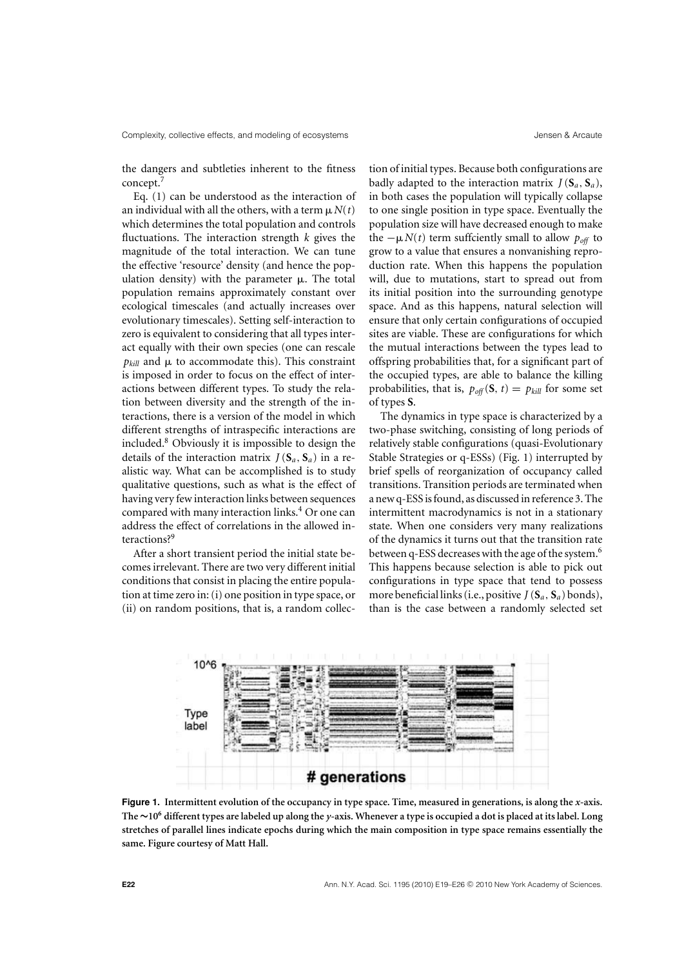the dangers and subtleties inherent to the fitness concept.<sup>7</sup>

Eq. (1) can be understood as the interaction of an individual with all the others, with a term  $\mu$   $N(t)$ which determines the total population and controls fluctuations. The interaction strength *k* gives the magnitude of the total interaction. We can tune the effective 'resource' density (and hence the population density) with the parameter  $\mu$ . The total population remains approximately constant over ecological timescales (and actually increases over evolutionary timescales). Setting self-interaction to zero is equivalent to considering that all types interact equally with their own species (one can rescale  $p_{\text{kill}}$  and  $\mu$  to accommodate this). This constraint is imposed in order to focus on the effect of interactions between different types. To study the relation between diversity and the strength of the interactions, there is a version of the model in which different strengths of intraspecific interactions are included.8 Obviously it is impossible to design the details of the interaction matrix  $J(\mathbf{S}_a, \mathbf{S}_a)$  in a realistic way. What can be accomplished is to study qualitative questions, such as what is the effect of having very few interaction links between sequences compared with many interaction links.<sup>4</sup> Or one can address the effect of correlations in the allowed interactions?9

After a short transient period the initial state becomes irrelevant. There are two very different initial conditions that consist in placing the entire population at time zero in: (i) one position in type space, or (ii) on random positions, that is, a random collection of initial types. Because both configurations are badly adapted to the interaction matrix  $J(\mathbf{S}_a, \mathbf{S}_a)$ , in both cases the population will typically collapse to one single position in type space. Eventually the population size will have decreased enough to make the  $-\mu N(t)$  term suffciently small to allow  $p_{off}$  to grow to a value that ensures a nonvanishing reproduction rate. When this happens the population will, due to mutations, start to spread out from its initial position into the surrounding genotype space. And as this happens, natural selection will ensure that only certain configurations of occupied sites are viable. These are configurations for which the mutual interactions between the types lead to offspring probabilities that, for a significant part of the occupied types, are able to balance the killing probabilities, that is,  $p_{off}(S, t) = p_{kill}$  for some set of types **S**.

The dynamics in type space is characterized by a two-phase switching, consisting of long periods of relatively stable configurations (quasi-Evolutionary Stable Strategies or q-ESSs) (Fig. 1) interrupted by brief spells of reorganization of occupancy called transitions. Transition periods are terminated when a new q-ESS isfound, as discussed in reference 3. The intermittent macrodynamics is not in a stationary state. When one considers very many realizations of the dynamics it turns out that the transition rate between q-ESS decreases with the age of the system.<sup>6</sup> This happens because selection is able to pick out configurations in type space that tend to possess more beneficial links (i.e., positive  $J(\mathbf{S}_a, \mathbf{S}_a)$  bonds), than is the case between a randomly selected set



**Figure 1. Intermittent evolution of the occupancy in type space. Time, measured in generations, is along the** *x***-axis. The** ∼**10<sup>6</sup> different types are labeled up along the** *y***-axis. Whenever a type is occupied a dot is placed at its label. Long stretches of parallel lines indicate epochs during which the main composition in type space remains essentially the same. Figure courtesy of Matt Hall.**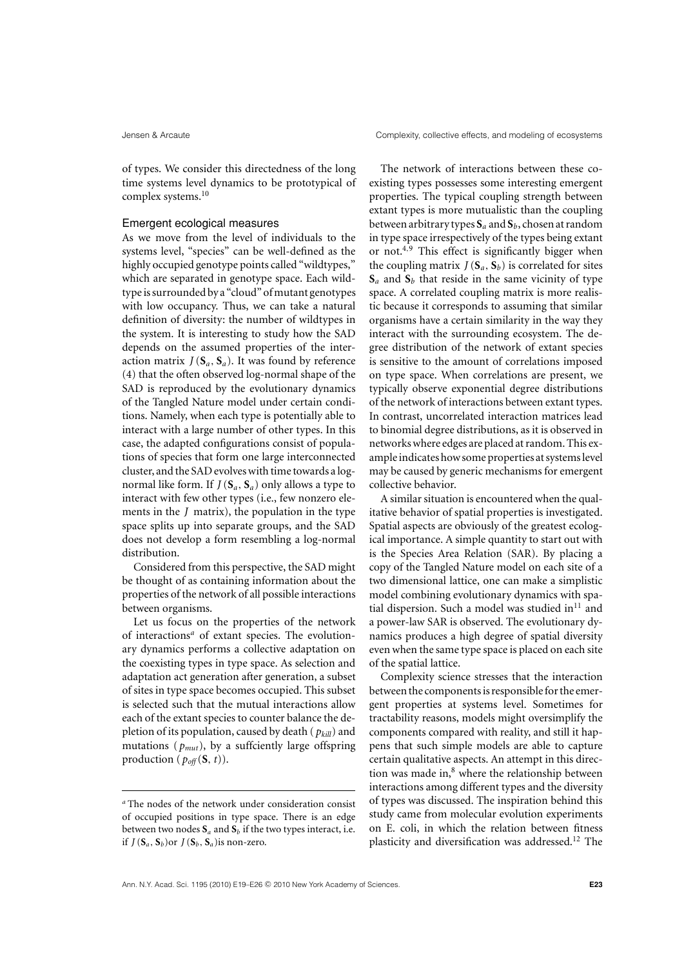of types. We consider this directedness of the long time systems level dynamics to be prototypical of complex systems.10

### Emergent ecological measures

As we move from the level of individuals to the systems level, "species" can be well-defined as the highly occupied genotype points called "wildtypes," which are separated in genotype space. Each wildtype is surrounded by a "cloud" of mutant genotypes with low occupancy. Thus, we can take a natural definition of diversity: the number of wildtypes in the system. It is interesting to study how the SAD depends on the assumed properties of the interaction matrix  $J(\mathbf{S}_a, \mathbf{S}_a)$ . It was found by reference (4) that the often observed log-normal shape of the SAD is reproduced by the evolutionary dynamics of the Tangled Nature model under certain conditions. Namely, when each type is potentially able to interact with a large number of other types. In this case, the adapted configurations consist of populations of species that form one large interconnected cluster, and the SAD evolves with time towards a lognormal like form. If  $J(\mathbf{S}_a, \mathbf{S}_a)$  only allows a type to interact with few other types (i.e., few nonzero elements in the *J* matrix), the population in the type space splits up into separate groups, and the SAD does not develop a form resembling a log-normal distribution.

Considered from this perspective, the SAD might be thought of as containing information about the properties of the network of all possible interactions between organisms.

Let us focus on the properties of the network of interactions*<sup>a</sup>* of extant species. The evolutionary dynamics performs a collective adaptation on the coexisting types in type space. As selection and adaptation act generation after generation, a subset of sites in type space becomes occupied. This subset is selected such that the mutual interactions allow each of the extant species to counter balance the depletion of its population, caused by death (*pkill*) and mutations  $(p_{mut})$ , by a suffciently large offspring production ( $p_{off}(\mathbf{S}, t)$ ).

Jensen & Arcaute Complexity, collective effects, and modeling of ecosystems

The network of interactions between these coexisting types possesses some interesting emergent properties. The typical coupling strength between extant types is more mutualistic than the coupling between arbitrary types  $S_a$  and  $S_b$ , chosen at random in type space irrespectively of the types being extant or not.<sup>4,9</sup> This effect is significantly bigger when the coupling matrix  $J(\mathbf{S}_a, \mathbf{S}_b)$  is correlated for sites  $S_a$  and  $S_b$  that reside in the same vicinity of type space. A correlated coupling matrix is more realistic because it corresponds to assuming that similar organisms have a certain similarity in the way they interact with the surrounding ecosystem. The degree distribution of the network of extant species is sensitive to the amount of correlations imposed on type space. When correlations are present, we typically observe exponential degree distributions of the network of interactions between extant types. In contrast, uncorrelated interaction matrices lead to binomial degree distributions, as it is observed in networks where edges are placed at random. This exampleindicates how some properties at systems level may be caused by generic mechanisms for emergent collective behavior.

A similar situation is encountered when the qualitative behavior of spatial properties is investigated. Spatial aspects are obviously of the greatest ecological importance. A simple quantity to start out with is the Species Area Relation (SAR). By placing a copy of the Tangled Nature model on each site of a two dimensional lattice, one can make a simplistic model combining evolutionary dynamics with spatial dispersion. Such a model was studied in $11$  and a power-law SAR is observed. The evolutionary dynamics produces a high degree of spatial diversity even when the same type space is placed on each site of the spatial lattice.

Complexity science stresses that the interaction between the components is responsible for the emergent properties at systems level. Sometimes for tractability reasons, models might oversimplify the components compared with reality, and still it happens that such simple models are able to capture certain qualitative aspects. An attempt in this direction was made in, $8$  where the relationship between interactions among different types and the diversity of types was discussed. The inspiration behind this study came from molecular evolution experiments on E. coli, in which the relation between fitness plasticity and diversification was addressed.<sup>12</sup> The

*<sup>a</sup>* The nodes of the network under consideration consist of occupied positions in type space. There is an edge between two nodes  $S_a$  and  $S_b$  if the two types interact, i.e. if  $J$  ( $S_a$ ,  $S_b$ ) or  $J$  ( $S_b$ ,  $S_a$ ) is non-zero.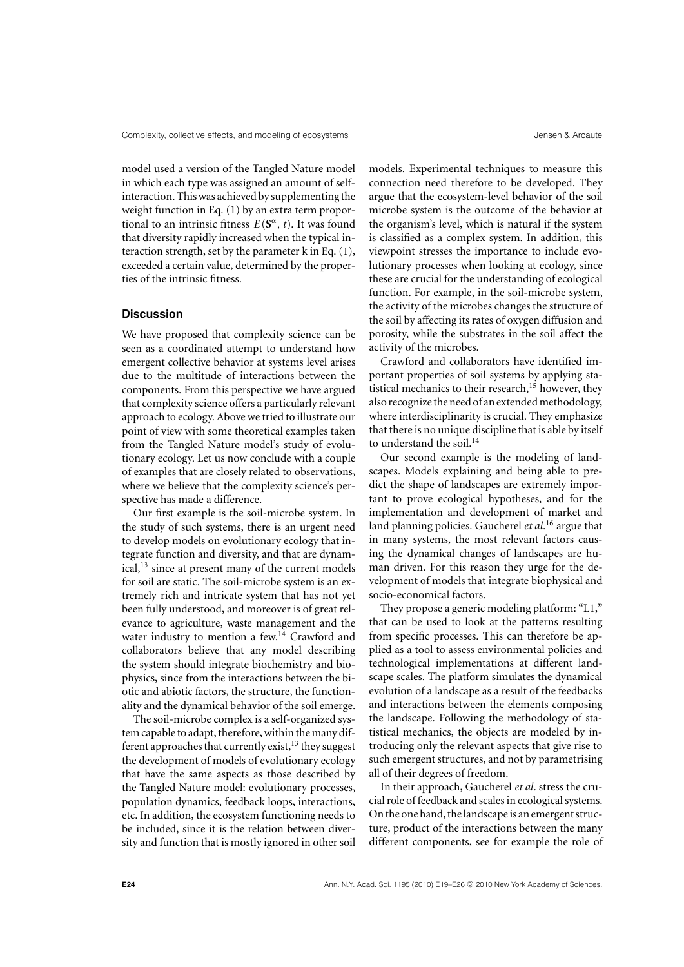model used a version of the Tangled Nature model in which each type was assigned an amount of selfinteraction. This was achieved by supplementing the weight function in Eq. (1) by an extra term proportional to an intrinsic fitness  $E(S^{\alpha}, t)$ . It was found that diversity rapidly increased when the typical interaction strength, set by the parameter k in Eq. (1), exceeded a certain value, determined by the properties of the intrinsic fitness.

# **Discussion**

We have proposed that complexity science can be seen as a coordinated attempt to understand how emergent collective behavior at systems level arises due to the multitude of interactions between the components. From this perspective we have argued that complexity science offers a particularly relevant approach to ecology. Above we tried to illustrate our point of view with some theoretical examples taken from the Tangled Nature model's study of evolutionary ecology. Let us now conclude with a couple of examples that are closely related to observations, where we believe that the complexity science's perspective has made a difference.

Our first example is the soil-microbe system. In the study of such systems, there is an urgent need to develop models on evolutionary ecology that integrate function and diversity, and that are dynamical,<sup>13</sup> since at present many of the current models for soil are static. The soil-microbe system is an extremely rich and intricate system that has not yet been fully understood, and moreover is of great relevance to agriculture, waste management and the water industry to mention a few.<sup>14</sup> Crawford and collaborators believe that any model describing the system should integrate biochemistry and biophysics, since from the interactions between the biotic and abiotic factors, the structure, the functionality and the dynamical behavior of the soil emerge.

The soil-microbe complex is a self-organized system capable to adapt, therefore, within the many different approaches that currently exist, $13$  they suggest the development of models of evolutionary ecology that have the same aspects as those described by the Tangled Nature model: evolutionary processes, population dynamics, feedback loops, interactions, etc. In addition, the ecosystem functioning needs to be included, since it is the relation between diversity and function that is mostly ignored in other soil models. Experimental techniques to measure this connection need therefore to be developed. They argue that the ecosystem-level behavior of the soil microbe system is the outcome of the behavior at the organism's level, which is natural if the system is classified as a complex system. In addition, this viewpoint stresses the importance to include evolutionary processes when looking at ecology, since these are crucial for the understanding of ecological function. For example, in the soil-microbe system, the activity of the microbes changes the structure of the soil by affecting its rates of oxygen diffusion and porosity, while the substrates in the soil affect the activity of the microbes.

Crawford and collaborators have identified important properties of soil systems by applying statistical mechanics to their research,<sup>15</sup> however, they also recognize the need of an extendedmethodology, where interdisciplinarity is crucial. They emphasize that there is no unique discipline that is able by itself to understand the soil.<sup>14</sup>

Our second example is the modeling of landscapes. Models explaining and being able to predict the shape of landscapes are extremely important to prove ecological hypotheses, and for the implementation and development of market and land planning policies. Gaucherel *et al*. <sup>16</sup> argue that in many systems, the most relevant factors causing the dynamical changes of landscapes are human driven. For this reason they urge for the development of models that integrate biophysical and socio-economical factors.

They propose a generic modeling platform: "L1," that can be used to look at the patterns resulting from specific processes. This can therefore be applied as a tool to assess environmental policies and technological implementations at different landscape scales. The platform simulates the dynamical evolution of a landscape as a result of the feedbacks and interactions between the elements composing the landscape. Following the methodology of statistical mechanics, the objects are modeled by introducing only the relevant aspects that give rise to such emergent structures, and not by parametrising all of their degrees of freedom.

In their approach, Gaucherel *et al*. stress the crucial role of feedback and scales in ecological systems. On the one hand, the landscapeis an emergent structure, product of the interactions between the many different components, see for example the role of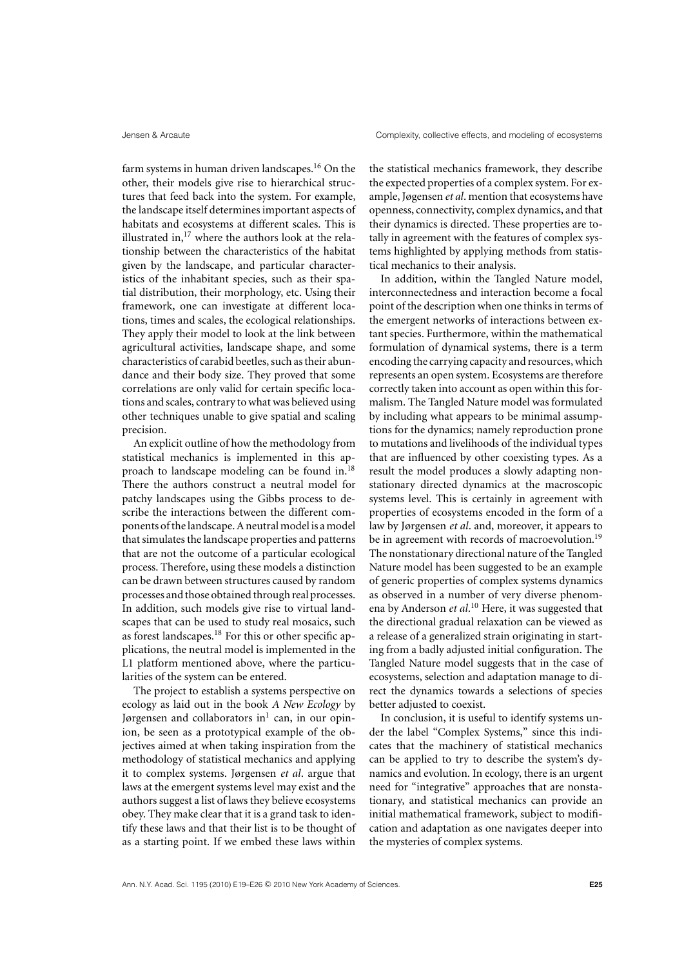farm systems in human driven landscapes.16 On the other, their models give rise to hierarchical structures that feed back into the system. For example, the landscape itself determines important aspects of habitats and ecosystems at different scales. This is illustrated in, $^{17}$  where the authors look at the relationship between the characteristics of the habitat given by the landscape, and particular characteristics of the inhabitant species, such as their spatial distribution, their morphology, etc. Using their framework, one can investigate at different locations, times and scales, the ecological relationships. They apply their model to look at the link between agricultural activities, landscape shape, and some characteristics of carabid beetles, such as their abundance and their body size. They proved that some correlations are only valid for certain specific locations and scales, contrary to what was believed using other techniques unable to give spatial and scaling precision.

An explicit outline of how the methodology from statistical mechanics is implemented in this approach to landscape modeling can be found in.18 There the authors construct a neutral model for patchy landscapes using the Gibbs process to describe the interactions between the different components of the landscape. A neutral model is a model that simulates the landscape properties and patterns that are not the outcome of a particular ecological process. Therefore, using these models a distinction can be drawn between structures caused by random processes and those obtained through real processes. In addition, such models give rise to virtual landscapes that can be used to study real mosaics, such as forest landscapes.18 For this or other specific applications, the neutral model is implemented in the L1 platform mentioned above, where the particularities of the system can be entered.

The project to establish a systems perspective on ecology as laid out in the book *A New Ecology* by Jørgensen and collaborators in<sup>1</sup> can, in our opinion, be seen as a prototypical example of the objectives aimed at when taking inspiration from the methodology of statistical mechanics and applying it to complex systems. Jørgensen *et al*. argue that laws at the emergent systems level may exist and the authors suggest a list of laws they believe ecosystems obey. They make clear that it is a grand task to identify these laws and that their list is to be thought of as a starting point. If we embed these laws within the statistical mechanics framework, they describe the expected properties of a complex system. For example, Jøgensen *et al*. mention that ecosystems have openness, connectivity, complex dynamics, and that their dynamics is directed. These properties are totally in agreement with the features of complex systems highlighted by applying methods from statistical mechanics to their analysis.

In addition, within the Tangled Nature model, interconnectedness and interaction become a focal point of the description when one thinks in terms of the emergent networks of interactions between extant species. Furthermore, within the mathematical formulation of dynamical systems, there is a term encoding the carrying capacity and resources, which represents an open system. Ecosystems are therefore correctly taken into account as open within this formalism. The Tangled Nature model was formulated by including what appears to be minimal assumptions for the dynamics; namely reproduction prone to mutations and livelihoods of the individual types that are influenced by other coexisting types. As a result the model produces a slowly adapting nonstationary directed dynamics at the macroscopic systems level. This is certainly in agreement with properties of ecosystems encoded in the form of a law by Jørgensen *et al*. and, moreover, it appears to be in agreement with records of macroevolution.<sup>19</sup> The nonstationary directional nature of the Tangled Nature model has been suggested to be an example of generic properties of complex systems dynamics as observed in a number of very diverse phenomena by Anderson *et al*. <sup>10</sup> Here, it was suggested that the directional gradual relaxation can be viewed as a release of a generalized strain originating in starting from a badly adjusted initial configuration. The Tangled Nature model suggests that in the case of ecosystems, selection and adaptation manage to direct the dynamics towards a selections of species better adjusted to coexist.

In conclusion, it is useful to identify systems under the label "Complex Systems," since this indicates that the machinery of statistical mechanics can be applied to try to describe the system's dynamics and evolution. In ecology, there is an urgent need for "integrative" approaches that are nonstationary, and statistical mechanics can provide an initial mathematical framework, subject to modification and adaptation as one navigates deeper into the mysteries of complex systems.